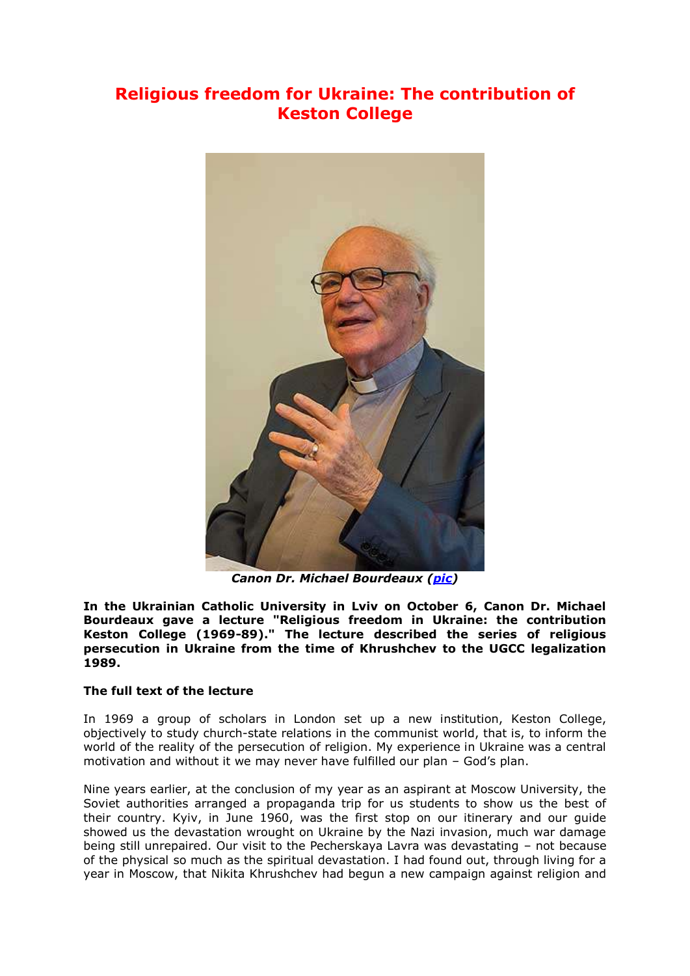## **Religious freedom for Ukraine: The contribution of Keston College**



*Canon Dr. Michael Bourdeaux [\(pic\)](http://risu.org.ua/en/index/exclusive/events_people/64759/)*

**In the Ukrainian Catholic University in Lviv on October 6, Canon Dr. Michael Bourdeaux gave a lecture "Religious freedom in Ukraine: the contribution Keston College (1969-89)." The lecture described the series of religious persecution in Ukraine from the time of Khrushchev to the UGCC legalization 1989.**

## **The full text of the lecture**

In 1969 a group of scholars in London set up a new institution, Keston College, objectively to study church-state relations in the communist world, that is, to inform the world of the reality of the persecution of religion. My experience in Ukraine was a central motivation and without it we may never have fulfilled our plan – God's plan.

Nine years earlier, at the conclusion of my year as an aspirant at Moscow University, the Soviet authorities arranged a propaganda trip for us students to show us the best of their country. Kyiv, in June 1960, was the first stop on our itinerary and our guide showed us the devastation wrought on Ukraine by the Nazi invasion, much war damage being still unrepaired. Our visit to the Pecherskaya Lavra was devastating – not because of the physical so much as the spiritual devastation. I had found out, through living for a year in Moscow, that Nikita Khrushchev had begun a new campaign against religion and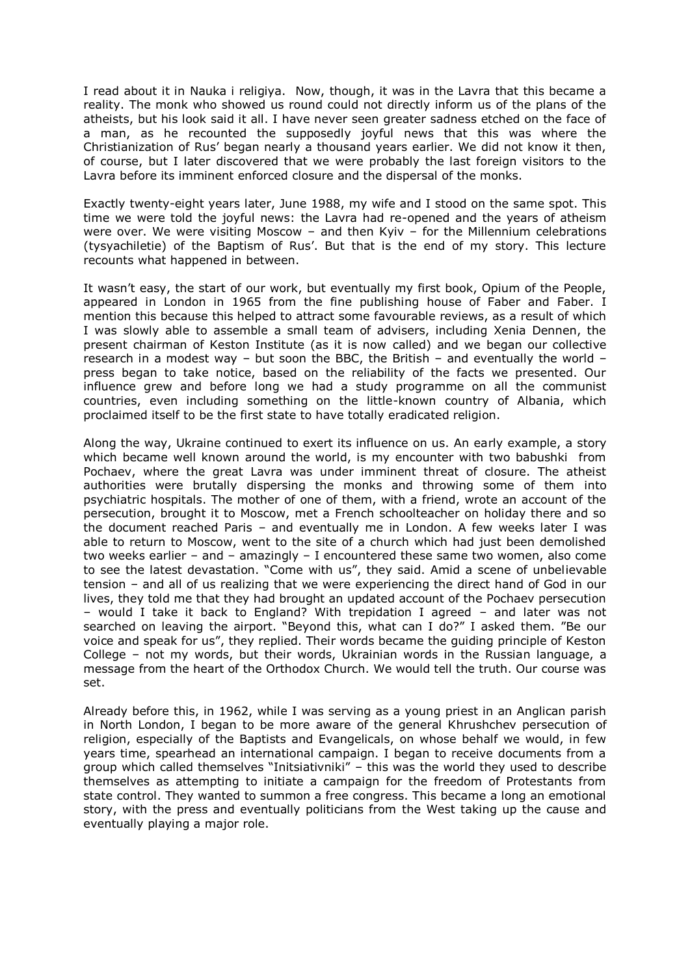I read about it in Nauka i religiya. Now, though, it was in the Lavra that this became a reality. The monk who showed us round could not directly inform us of the plans of the atheists, but his look said it all. I have never seen greater sadness etched on the face of a man, as he recounted the supposedly joyful news that this was where the Christianization of Rus' began nearly a thousand years earlier. We did not know it then, of course, but I later discovered that we were probably the last foreign visitors to the Lavra before its imminent enforced closure and the dispersal of the monks.

Exactly twenty-eight years later, June 1988, my wife and I stood on the same spot. This time we were told the joyful news: the Lavra had re-opened and the years of atheism were over. We were visiting Moscow – and then Kyiv – for the Millennium celebrations (tysyachiletie) of the Baptism of Rus'. But that is the end of my story. This lecture recounts what happened in between.

It wasn't easy, the start of our work, but eventually my first book, Opium of the People, appeared in London in 1965 from the fine publishing house of Faber and Faber. I mention this because this helped to attract some favourable reviews, as a result of which I was slowly able to assemble a small team of advisers, including Xenia Dennen, the present chairman of Keston Institute (as it is now called) and we began our collective research in a modest way – but soon the BBC, the British – and eventually the world – press began to take notice, based on the reliability of the facts we presented. Our influence grew and before long we had a study programme on all the communist countries, even including something on the little-known country of Albania, which proclaimed itself to be the first state to have totally eradicated religion.

Along the way, Ukraine continued to exert its influence on us. An early example, a story which became well known around the world, is my encounter with two babushki from Pochaev, where the great Lavra was under imminent threat of closure. The atheist authorities were brutally dispersing the monks and throwing some of them into psychiatric hospitals. The mother of one of them, with a friend, wrote an account of the persecution, brought it to Moscow, met a French schoolteacher on holiday there and so the document reached Paris – and eventually me in London. A few weeks later I was able to return to Moscow, went to the site of a church which had just been demolished two weeks earlier – and – amazingly – I encountered these same two women, also come to see the latest devastation. "Come with us", they said. Amid a scene of unbelievable tension – and all of us realizing that we were experiencing the direct hand of God in our lives, they told me that they had brought an updated account of the Pochaev persecution – would I take it back to England? With trepidation I agreed – and later was not searched on leaving the airport. "Beyond this, what can I do?" I asked them. "Be our voice and speak for us", they replied. Their words became the guiding principle of Keston College – not my words, but their words, Ukrainian words in the Russian language, a message from the heart of the Orthodox Church. We would tell the truth. Our course was set.

Already before this, in 1962, while I was serving as a young priest in an Anglican parish in North London, I began to be more aware of the general Khrushchev persecution of religion, especially of the Baptists and Evangelicals, on whose behalf we would, in few years time, spearhead an international campaign. I began to receive documents from a group which called themselves "Initsiativniki" – this was the world they used to describe themselves as attempting to initiate a campaign for the freedom of Protestants from state control. They wanted to summon a free congress. This became a long an emotional story, with the press and eventually politicians from the West taking up the cause and eventually playing a major role.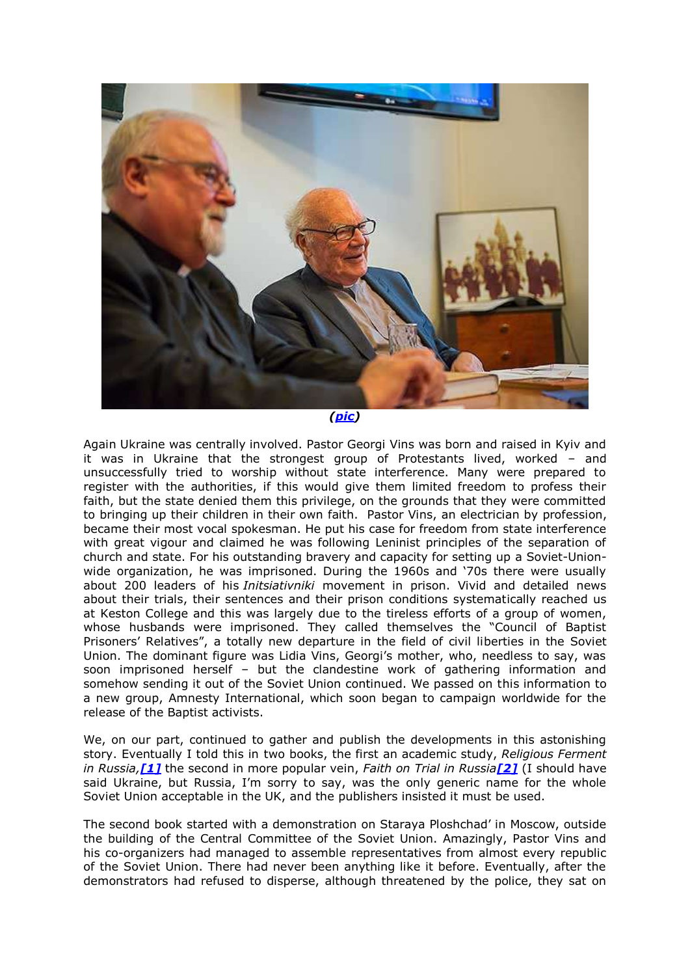

Again Ukraine was centrally involved. Pastor Georgi Vins was born and raised in Kyiv and it was in Ukraine that the strongest group of Protestants lived, worked – and unsuccessfully tried to worship without state interference. Many were prepared to register with the authorities, if this would give them limited freedom to profess their faith, but the state denied them this privilege, on the grounds that they were committed to bringing up their children in their own faith. Pastor Vins, an electrician by profession, became their most vocal spokesman. He put his case for freedom from state interference with great vigour and claimed he was following Leninist principles of the separation of church and state. For his outstanding bravery and capacity for setting up a Soviet-Unionwide organization, he was imprisoned. During the 1960s and '70s there were usually about 200 leaders of his *Initsiativniki* movement in prison. Vivid and detailed news about their trials, their sentences and their prison conditions systematically reached us at Keston College and this was largely due to the tireless efforts of a group of women, whose husbands were imprisoned. They called themselves the "Council of Baptist Prisoners' Relatives", a totally new departure in the field of civil liberties in the Soviet Union. The dominant figure was Lidia Vins, Georgi's mother, who, needless to say, was soon imprisoned herself – but the clandestine work of gathering information and somehow sending it out of the Soviet Union continued. We passed on this information to a new group, Amnesty International, which soon began to campaign worldwide for the release of the Baptist activists.

We, on our part, continued to gather and publish the developments in this astonishing story. Eventually I told this in two books, the first an academic study, *Religious Ferment in Russia,[\[1\]](http://risu.org.ua/page.php?_lang=en&path=exclusive/&name=events_people&id=64759&alias=&#_ftn1)* the second in more popular vein, *Faith on Trial in Russia[\[2\]](http://risu.org.ua/page.php?_lang=en&path=exclusive/&name=events_people&id=64759&alias=&#_ftn2)* (I should have said Ukraine, but Russia, I'm sorry to say, was the only generic name for the whole Soviet Union acceptable in the UK, and the publishers insisted it must be used.

The second book started with a demonstration on Staraya Ploshchad' in Moscow, outside the building of the Central Committee of the Soviet Union. Amazingly, Pastor Vins and his co-organizers had managed to assemble representatives from almost every republic of the Soviet Union. There had never been anything like it before. Eventually, after the demonstrators had refused to disperse, although threatened by the police, they sat on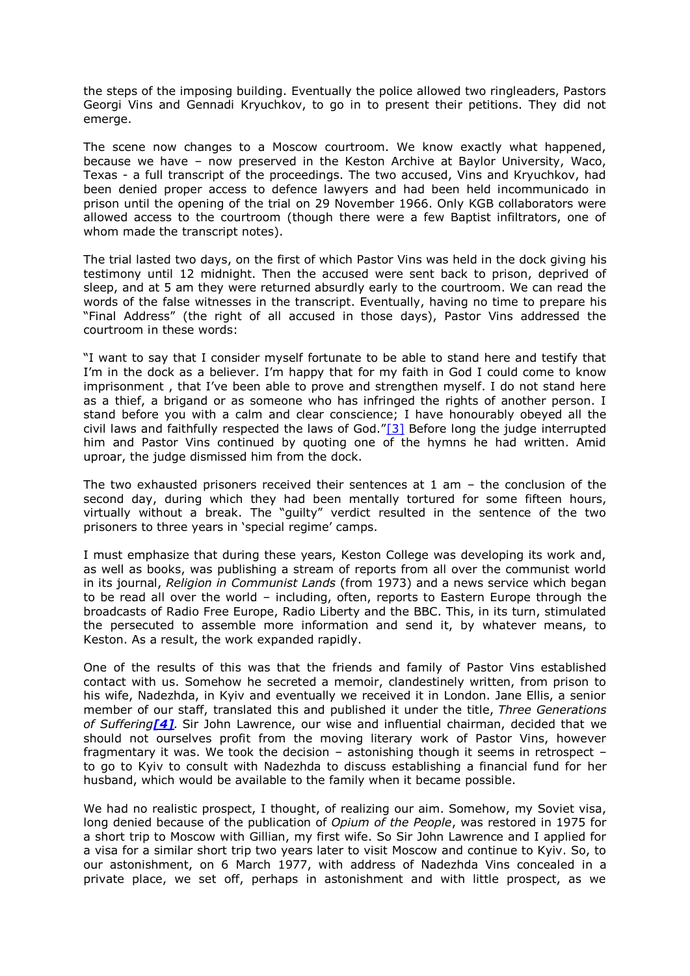the steps of the imposing building. Eventually the police allowed two ringleaders, Pastors Georgi Vins and Gennadi Kryuchkov, to go in to present their petitions. They did not emerge.

The scene now changes to a Moscow courtroom. We know exactly what happened, because we have – now preserved in the Keston Archive at Baylor University, Waco, Texas - a full transcript of the proceedings. The two accused, Vins and Kryuchkov, had been denied proper access to defence lawyers and had been held incommunicado in prison until the opening of the trial on 29 November 1966. Only KGB collaborators were allowed access to the courtroom (though there were a few Baptist infiltrators, one of whom made the transcript notes).

The trial lasted two days, on the first of which Pastor Vins was held in the dock giving his testimony until 12 midnight. Then the accused were sent back to prison, deprived of sleep, and at 5 am they were returned absurdly early to the courtroom. We can read the words of the false witnesses in the transcript. Eventually, having no time to prepare his "Final Address" (the right of all accused in those days), Pastor Vins addressed the courtroom in these words:

"I want to say that I consider myself fortunate to be able to stand here and testify that I'm in the dock as a believer. I'm happy that for my faith in God I could come to know imprisonment , that I've been able to prove and strengthen myself. I do not stand here as a thief, a brigand or as someone who has infringed the rights of another person. I stand before you with a calm and clear conscience; I have honourably obeyed all the civil laws and faithfully respected the laws of God."[\[3\]](http://risu.org.ua/page.php?_lang=en&path=exclusive/&name=events_people&id=64759&alias=&#_ftn3) Before long the judge interrupted him and Pastor Vins continued by quoting one of the hymns he had written. Amid uproar, the judge dismissed him from the dock.

The two exhausted prisoners received their sentences at 1 am – the conclusion of the second day, during which they had been mentally tortured for some fifteen hours, virtually without a break. The "guilty" verdict resulted in the sentence of the two prisoners to three years in 'special regime' camps.

I must emphasize that during these years, Keston College was developing its work and, as well as books, was publishing a stream of reports from all over the communist world in its journal, *Religion in Communist Lands* (from 1973) and a news service which began to be read all over the world – including, often, reports to Eastern Europe through the broadcasts of Radio Free Europe, Radio Liberty and the BBC. This, in its turn, stimulated the persecuted to assemble more information and send it, by whatever means, to Keston. As a result, the work expanded rapidly.

One of the results of this was that the friends and family of Pastor Vins established contact with us. Somehow he secreted a memoir, clandestinely written, from prison to his wife, Nadezhda, in Kyiv and eventually we received it in London. Jane Ellis, a senior member of our staff, translated this and published it under the title, *Three Generations of Suffering[\[4\]](http://risu.org.ua/page.php?_lang=en&path=exclusive/&name=events_people&id=64759&alias=&#_ftn4).* Sir John Lawrence, our wise and influential chairman, decided that we should not ourselves profit from the moving literary work of Pastor Vins, however fragmentary it was. We took the decision – astonishing though it seems in retrospect – to go to Kyiv to consult with Nadezhda to discuss establishing a financial fund for her husband, which would be available to the family when it became possible.

We had no realistic prospect, I thought, of realizing our aim. Somehow, my Soviet visa, long denied because of the publication of *Opium of the People*, was restored in 1975 for a short trip to Moscow with Gillian, my first wife. So Sir John Lawrence and I applied for a visa for a similar short trip two years later to visit Moscow and continue to Kyiv. So, to our astonishment, on 6 March 1977, with address of Nadezhda Vins concealed in a private place, we set off, perhaps in astonishment and with little prospect, as we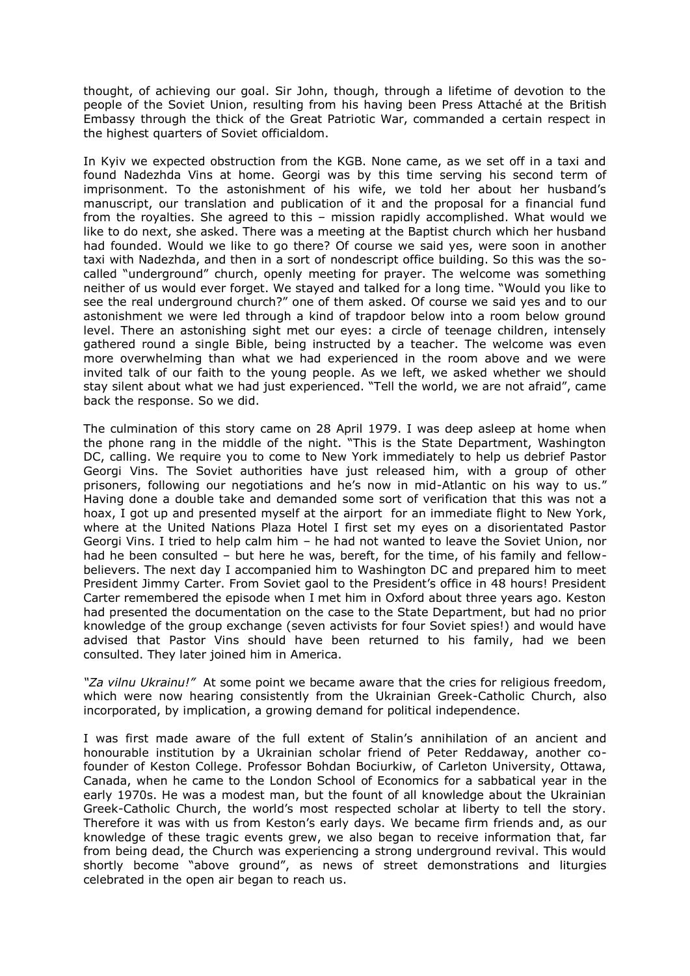thought, of achieving our goal. Sir John, though, through a lifetime of devotion to the people of the Soviet Union, resulting from his having been Press Attaché at the British Embassy through the thick of the Great Patriotic War, commanded a certain respect in the highest quarters of Soviet officialdom.

In Kyiv we expected obstruction from the KGB. None came, as we set off in a taxi and found Nadezhda Vins at home. Georgi was by this time serving his second term of imprisonment. To the astonishment of his wife, we told her about her husband's manuscript, our translation and publication of it and the proposal for a financial fund from the royalties. She agreed to this – mission rapidly accomplished. What would we like to do next, she asked. There was a meeting at the Baptist church which her husband had founded. Would we like to go there? Of course we said yes, were soon in another taxi with Nadezhda, and then in a sort of nondescript office building. So this was the socalled "underground" church, openly meeting for prayer. The welcome was something neither of us would ever forget. We stayed and talked for a long time. "Would you like to see the real underground church?" one of them asked. Of course we said yes and to our astonishment we were led through a kind of trapdoor below into a room below ground level. There an astonishing sight met our eyes: a circle of teenage children, intensely gathered round a single Bible, being instructed by a teacher. The welcome was even more overwhelming than what we had experienced in the room above and we were invited talk of our faith to the young people. As we left, we asked whether we should stay silent about what we had just experienced. "Tell the world, we are not afraid", came back the response. So we did.

The culmination of this story came on 28 April 1979. I was deep asleep at home when the phone rang in the middle of the night. "This is the State Department, Washington DC, calling. We require you to come to New York immediately to help us debrief Pastor Georgi Vins. The Soviet authorities have just released him, with a group of other prisoners, following our negotiations and he's now in mid-Atlantic on his way to us." Having done a double take and demanded some sort of verification that this was not a hoax, I got up and presented myself at the airport for an immediate flight to New York, where at the United Nations Plaza Hotel I first set my eyes on a disorientated Pastor Georgi Vins. I tried to help calm him – he had not wanted to leave the Soviet Union, nor had he been consulted – but here he was, bereft, for the time, of his family and fellowbelievers. The next day I accompanied him to Washington DC and prepared him to meet President Jimmy Carter. From Soviet gaol to the President's office in 48 hours! President Carter remembered the episode when I met him in Oxford about three years ago. Keston had presented the documentation on the case to the State Department, but had no prior knowledge of the group exchange (seven activists for four Soviet spies!) and would have advised that Pastor Vins should have been returned to his family, had we been consulted. They later joined him in America.

*"Za vilnu Ukrainu!"* At some point we became aware that the cries for religious freedom, which were now hearing consistently from the Ukrainian Greek-Catholic Church, also incorporated, by implication, a growing demand for political independence.

I was first made aware of the full extent of Stalin's annihilation of an ancient and honourable institution by a Ukrainian scholar friend of Peter Reddaway, another cofounder of Keston College. Professor Bohdan Bociurkiw, of Carleton University, Ottawa, Canada, when he came to the London School of Economics for a sabbatical year in the early 1970s. He was a modest man, but the fount of all knowledge about the Ukrainian Greek-Catholic Church, the world's most respected scholar at liberty to tell the story. Therefore it was with us from Keston's early days. We became firm friends and, as our knowledge of these tragic events grew, we also began to receive information that, far from being dead, the Church was experiencing a strong underground revival. This would shortly become "above ground", as news of street demonstrations and liturgies celebrated in the open air began to reach us.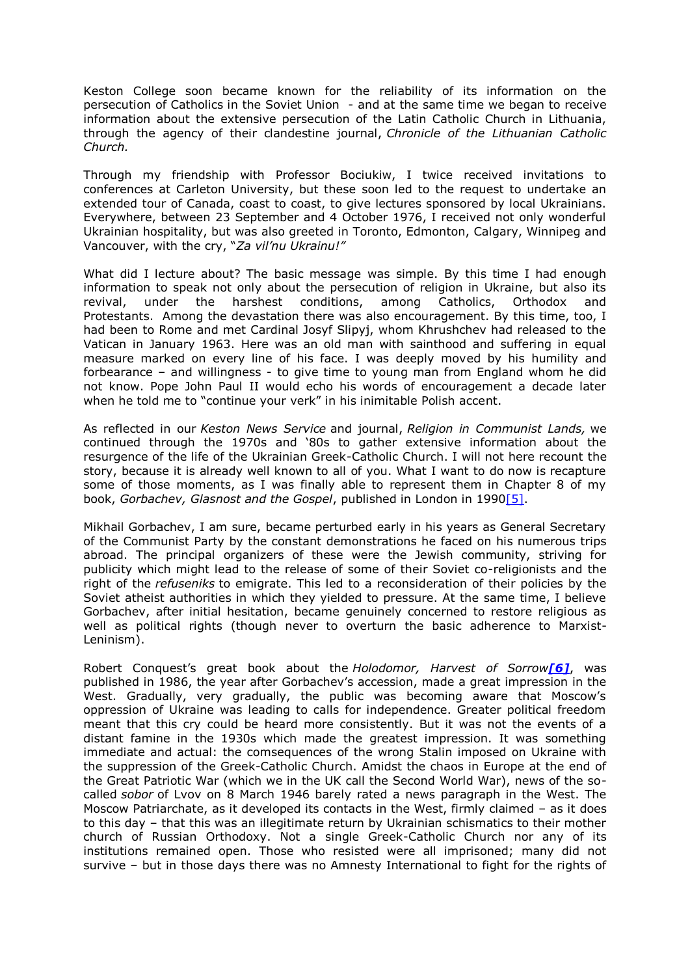Keston College soon became known for the reliability of its information on the persecution of Catholics in the Soviet Union - and at the same time we began to receive information about the extensive persecution of the Latin Catholic Church in Lithuania, through the agency of their clandestine journal, *Chronicle of the Lithuanian Catholic Church.*

Through my friendship with Professor Bociukiw, I twice received invitations to conferences at Carleton University, but these soon led to the request to undertake an extended tour of Canada, coast to coast, to give lectures sponsored by local Ukrainians. Everywhere, between 23 September and 4 October 1976, I received not only wonderful Ukrainian hospitality, but was also greeted in Toronto, Edmonton, Calgary, Winnipeg and Vancouver, with the cry, "*Za vil'nu Ukrainu!"*

What did I lecture about? The basic message was simple. By this time I had enough information to speak not only about the persecution of religion in Ukraine, but also its revival, under the harshest conditions, among Catholics, Orthodox and Protestants. Among the devastation there was also encouragement. By this time, too, I had been to Rome and met Cardinal Josyf Slipyj, whom Khrushchev had released to the Vatican in January 1963. Here was an old man with sainthood and suffering in equal measure marked on every line of his face. I was deeply moved by his humility and forbearance – and willingness - to give time to young man from England whom he did not know. Pope John Paul II would echo his words of encouragement a decade later when he told me to "continue your verk" in his inimitable Polish accent.

As reflected in our *Keston News Service* and journal, *Religion in Communist Lands,* we continued through the 1970s and '80s to gather extensive information about the resurgence of the life of the Ukrainian Greek-Catholic Church. I will not here recount the story, because it is already well known to all of you. What I want to do now is recapture some of those moments, as I was finally able to represent them in Chapter 8 of my book, *Gorbachev, Glasnost and the Gospel*, published in London in 199[0\[5\].](http://risu.org.ua/page.php?_lang=en&path=exclusive/&name=events_people&id=64759&alias=&#_ftn5)

Mikhail Gorbachev, I am sure, became perturbed early in his years as General Secretary of the Communist Party by the constant demonstrations he faced on his numerous trips abroad. The principal organizers of these were the Jewish community, striving for publicity which might lead to the release of some of their Soviet co-religionists and the right of the *refuseniks* to emigrate. This led to a reconsideration of their policies by the Soviet atheist authorities in which they yielded to pressure. At the same time, I believe Gorbachev, after initial hesitation, became genuinely concerned to restore religious as well as political rights (though never to overturn the basic adherence to Marxist-Leninism).

Robert Conquest's great book about the *Holodomor, Harvest of Sorrow[\[6\]](http://risu.org.ua/page.php?_lang=en&path=exclusive/&name=events_people&id=64759&alias=&#_ftn6)*, was published in 1986, the year after Gorbachev's accession, made a great impression in the West. Gradually, very gradually, the public was becoming aware that Moscow's oppression of Ukraine was leading to calls for independence. Greater political freedom meant that this cry could be heard more consistently. But it was not the events of a distant famine in the 1930s which made the greatest impression. It was something immediate and actual: the comsequences of the wrong Stalin imposed on Ukraine with the suppression of the Greek-Catholic Church. Amidst the chaos in Europe at the end of the Great Patriotic War (which we in the UK call the Second World War), news of the socalled *sobor* of Lvov on 8 March 1946 barely rated a news paragraph in the West. The Moscow Patriarchate, as it developed its contacts in the West, firmly claimed – as it does to this day – that this was an illegitimate return by Ukrainian schismatics to their mother church of Russian Orthodoxy. Not a single Greek-Catholic Church nor any of its institutions remained open. Those who resisted were all imprisoned; many did not survive – but in those days there was no Amnesty International to fight for the rights of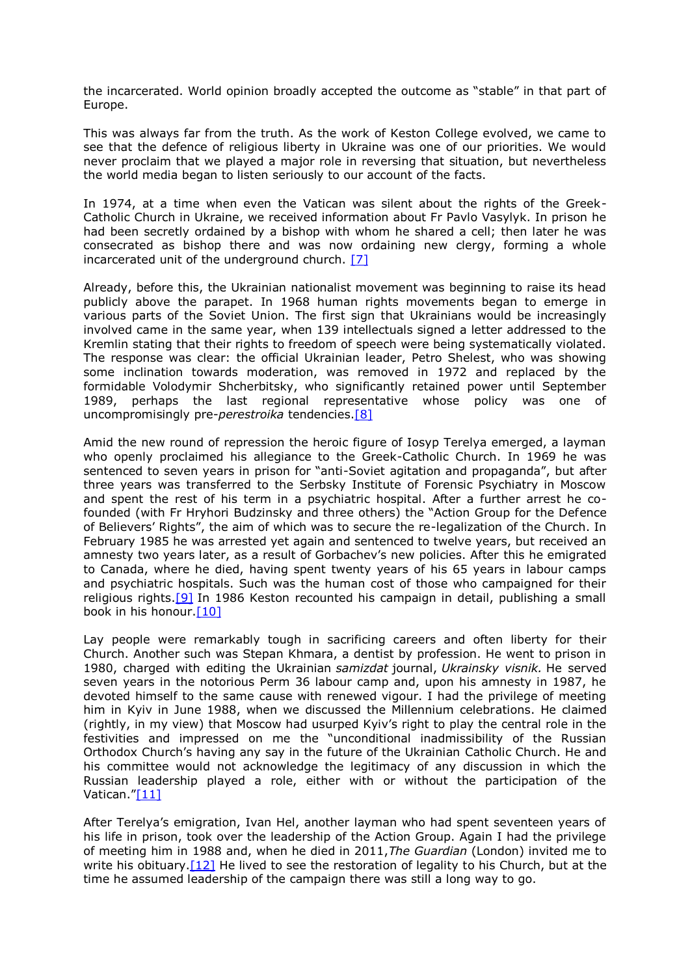the incarcerated. World opinion broadly accepted the outcome as "stable" in that part of Europe.

This was always far from the truth. As the work of Keston College evolved, we came to see that the defence of religious liberty in Ukraine was one of our priorities. We would never proclaim that we played a major role in reversing that situation, but nevertheless the world media began to listen seriously to our account of the facts.

In 1974, at a time when even the Vatican was silent about the rights of the Greek-Catholic Church in Ukraine, we received information about Fr Pavlo Vasylyk. In prison he had been secretly ordained by a bishop with whom he shared a cell; then later he was consecrated as bishop there and was now ordaining new clergy, forming a whole incarcerated unit of the underground church. [\[7\]](http://risu.org.ua/page.php?_lang=en&path=exclusive/&name=events_people&id=64759&alias=&#_ftn7)

Already, before this, the Ukrainian nationalist movement was beginning to raise its head publicly above the parapet. In 1968 human rights movements began to emerge in various parts of the Soviet Union. The first sign that Ukrainians would be increasingly involved came in the same year, when 139 intellectuals signed a letter addressed to the Kremlin stating that their rights to freedom of speech were being systematically violated. The response was clear: the official Ukrainian leader, Petro Shelest, who was showing some inclination towards moderation, was removed in 1972 and replaced by the formidable Volodymir Shcherbitsky, who significantly retained power until September 1989, perhaps the last regional representative whose policy was one of uncompromisingly pre-*perestroika* tendencies[.\[8\]](http://risu.org.ua/page.php?_lang=en&path=exclusive/&name=events_people&id=64759&alias=&#_ftn8)

Amid the new round of repression the heroic figure of Iosyp Terelya emerged, a layman who openly proclaimed his allegiance to the Greek-Catholic Church. In 1969 he was sentenced to seven years in prison for "anti-Soviet agitation and propaganda", but after three years was transferred to the Serbsky Institute of Forensic Psychiatry in Moscow and spent the rest of his term in a psychiatric hospital. After a further arrest he cofounded (with Fr Hryhori Budzinsky and three others) the "Action Group for the Defence of Believers' Rights", the aim of which was to secure the re-legalization of the Church. In February 1985 he was arrested yet again and sentenced to twelve years, but received an amnesty two years later, as a result of Gorbachev's new policies. After this he emigrated to Canada, where he died, having spent twenty years of his 65 years in labour camps and psychiatric hospitals. Such was the human cost of those who campaigned for their religious rights.<sup>[9]</sup> In 1986 Keston recounted his campaign in detail, publishing a small book in his honour. $[10]$ 

Lay people were remarkably tough in sacrificing careers and often liberty for their Church. Another such was Stepan Khmara, a dentist by profession. He went to prison in 1980, charged with editing the Ukrainian *samizdat* journal, *Ukrainsky visnik.* He served seven years in the notorious Perm 36 labour camp and, upon his amnesty in 1987, he devoted himself to the same cause with renewed vigour. I had the privilege of meeting him in Kyiv in June 1988, when we discussed the Millennium celebrations. He claimed (rightly, in my view) that Moscow had usurped Kyiv's right to play the central role in the festivities and impressed on me the "unconditional inadmissibility of the Russian Orthodox Church's having any say in the future of the Ukrainian Catholic Church. He and his committee would not acknowledge the legitimacy of any discussion in which the Russian leadership played a role, either with or without the participation of the Vatican."[\[11\]](http://risu.org.ua/page.php?_lang=en&path=exclusive/&name=events_people&id=64759&alias=&#_ftn11)

After Terelya's emigration, Ivan Hel, another layman who had spent seventeen years of his life in prison, took over the leadership of the Action Group. Again I had the privilege of meeting him in 1988 and, when he died in 2011,*The Guardian* (London) invited me to write his obituary.  $[12]$  He lived to see the restoration of legality to his Church, but at the time he assumed leadership of the campaign there was still a long way to go.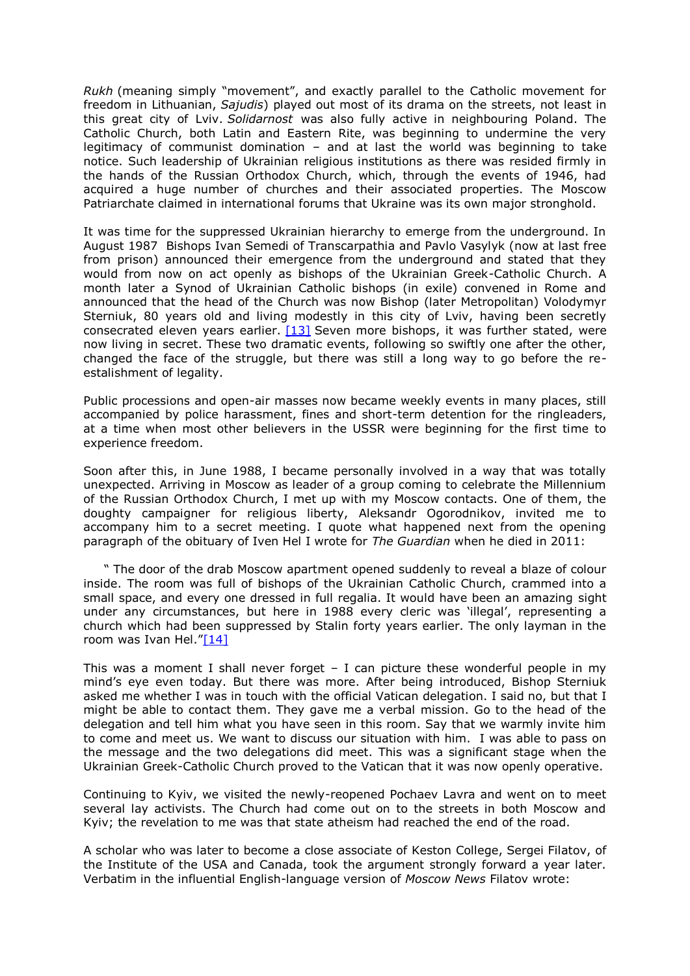*Rukh* (meaning simply "movement", and exactly parallel to the Catholic movement for freedom in Lithuanian, *Sajudis*) played out most of its drama on the streets, not least in this great city of Lviv. *Solidarnost* was also fully active in neighbouring Poland. The Catholic Church, both Latin and Eastern Rite, was beginning to undermine the very legitimacy of communist domination – and at last the world was beginning to take notice. Such leadership of Ukrainian religious institutions as there was resided firmly in the hands of the Russian Orthodox Church, which, through the events of 1946, had acquired a huge number of churches and their associated properties. The Moscow Patriarchate claimed in international forums that Ukraine was its own major stronghold.

It was time for the suppressed Ukrainian hierarchy to emerge from the underground. In August 1987 Bishops Ivan Semedi of Transcarpathia and Pavlo Vasylyk (now at last free from prison) announced their emergence from the underground and stated that they would from now on act openly as bishops of the Ukrainian Greek-Catholic Church. A month later a Synod of Ukrainian Catholic bishops (in exile) convened in Rome and announced that the head of the Church was now Bishop (later Metropolitan) Volodymyr Sterniuk, 80 years old and living modestly in this city of Lviv, having been secretly consecrated eleven years earlier.  $[13]$  Seven more bishops, it was further stated, were now living in secret. These two dramatic events, following so swiftly one after the other, changed the face of the struggle, but there was still a long way to go before the reestalishment of legality.

Public processions and open-air masses now became weekly events in many places, still accompanied by police harassment, fines and short-term detention for the ringleaders, at a time when most other believers in the USSR were beginning for the first time to experience freedom.

Soon after this, in June 1988, I became personally involved in a way that was totally unexpected. Arriving in Moscow as leader of a group coming to celebrate the Millennium of the Russian Orthodox Church, I met up with my Moscow contacts. One of them, the doughty campaigner for religious liberty, Aleksandr Ogorodnikov, invited me to accompany him to a secret meeting. I quote what happened next from the opening paragraph of the obituary of Iven Hel I wrote for *The Guardian* when he died in 2011:

 " The door of the drab Moscow apartment opened suddenly to reveal a blaze of colour inside. The room was full of bishops of the Ukrainian Catholic Church, crammed into a small space, and every one dressed in full regalia. It would have been an amazing sight under any circumstances, but here in 1988 every cleric was 'illegal', representing a church which had been suppressed by Stalin forty years earlier. The only layman in the room was Ivan Hel."[\[14\]](http://risu.org.ua/page.php?_lang=en&path=exclusive/&name=events_people&id=64759&alias=&#_ftn14)

This was a moment I shall never forget  $-$  I can picture these wonderful people in my mind's eye even today. But there was more. After being introduced, Bishop Sterniuk asked me whether I was in touch with the official Vatican delegation. I said no, but that I might be able to contact them. They gave me a verbal mission. Go to the head of the delegation and tell him what you have seen in this room. Say that we warmly invite him to come and meet us. We want to discuss our situation with him. I was able to pass on the message and the two delegations did meet. This was a significant stage when the Ukrainian Greek-Catholic Church proved to the Vatican that it was now openly operative.

Continuing to Kyiv, we visited the newly-reopened Pochaev Lavra and went on to meet several lay activists. The Church had come out on to the streets in both Moscow and Kyiv; the revelation to me was that state atheism had reached the end of the road.

A scholar who was later to become a close associate of Keston College, Sergei Filatov, of the Institute of the USA and Canada, took the argument strongly forward a year later. Verbatim in the influential English-language version of *Moscow News* Filatov wrote: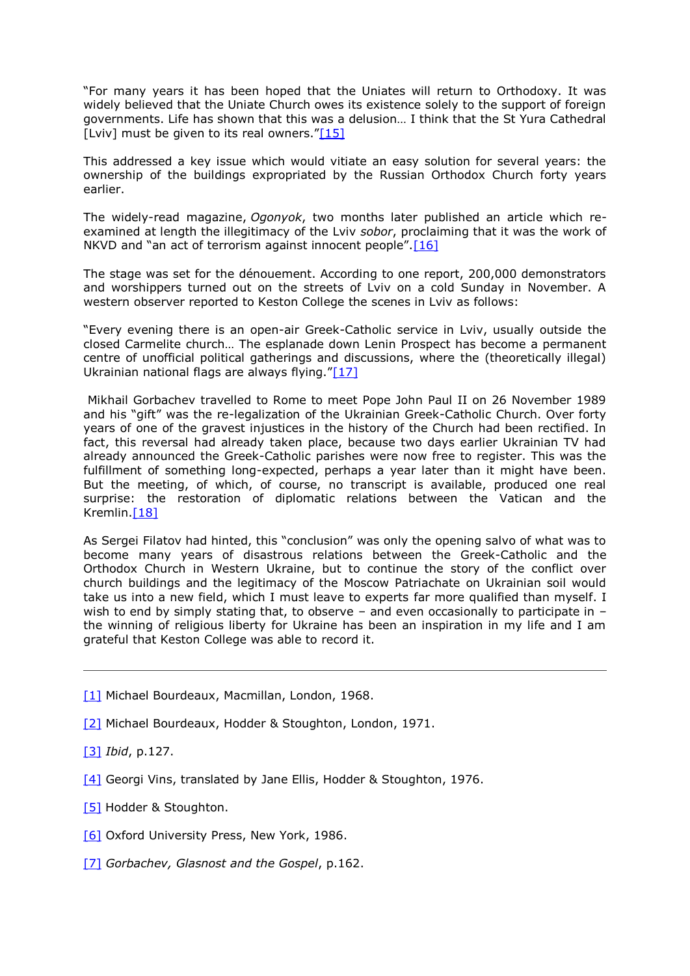"For many years it has been hoped that the Uniates will return to Orthodoxy. It was widely believed that the Uniate Church owes its existence solely to the support of foreign governments. Life has shown that this was a delusion… I think that the St Yura Cathedral [Lviv] must be given to its real owners." $[15]$ 

This addressed a key issue which would vitiate an easy solution for several years: the ownership of the buildings expropriated by the Russian Orthodox Church forty years earlier.

The widely-read magazine, *Ogonyok*, two months later published an article which reexamined at length the illegitimacy of the Lviv *sobor*, proclaiming that it was the work of NKVD and "an act of terrorism against innocent people".<sup>[\[16\]](http://risu.org.ua/page.php?_lang=en&path=exclusive/&name=events_people&id=64759&alias=&#_ftn16)</sup>

The stage was set for the dénouement. According to one report, 200,000 demonstrators and worshippers turned out on the streets of Lviv on a cold Sunday in November. A western observer reported to Keston College the scenes in Lviv as follows:

"Every evening there is an open-air Greek-Catholic service in Lviv, usually outside the closed Carmelite church… The esplanade down Lenin Prospect has become a permanent centre of unofficial political gatherings and discussions, where the (theoretically illegal) Ukrainian national flags are always flying." $[17]$ 

Mikhail Gorbachev travelled to Rome to meet Pope John Paul II on 26 November 1989 and his "gift" was the re-legalization of the Ukrainian Greek-Catholic Church. Over forty years of one of the gravest injustices in the history of the Church had been rectified. In fact, this reversal had already taken place, because two days earlier Ukrainian TV had already announced the Greek-Catholic parishes were now free to register. This was the fulfillment of something long-expected, perhaps a year later than it might have been. But the meeting, of which, of course, no transcript is available, produced one real surprise: the restoration of diplomatic relations between the Vatican and the Kremlin.<sup>[18]</sup>

As Sergei Filatov had hinted, this "conclusion" was only the opening salvo of what was to become many years of disastrous relations between the Greek-Catholic and the Orthodox Church in Western Ukraine, but to continue the story of the conflict over church buildings and the legitimacy of the Moscow Patriachate on Ukrainian soil would take us into a new field, which I must leave to experts far more qualified than myself. I wish to end by simply stating that, to observe - and even occasionally to participate in the winning of religious liberty for Ukraine has been an inspiration in my life and I am grateful that Keston College was able to record it.

- [\[1\]](http://risu.org.ua/page.php?_lang=en&path=exclusive/&name=events_people&id=64759&alias=&#_ftnref1) Michael Bourdeaux, Macmillan, London, 1968.
- [\[2\]](http://risu.org.ua/page.php?_lang=en&path=exclusive/&name=events_people&id=64759&alias=&#_ftnref2) Michael Bourdeaux, Hodder & Stoughton, London, 1971.
- [\[3\]](http://risu.org.ua/page.php?_lang=en&path=exclusive/&name=events_people&id=64759&alias=&#_ftnref3) *Ibid*, p.127.
- [\[4\]](http://risu.org.ua/page.php?_lang=en&path=exclusive/&name=events_people&id=64759&alias=&#_ftnref4) Georgi Vins, translated by Jane Ellis, Hodder & Stoughton, 1976.
- [\[5\]](http://risu.org.ua/page.php?_lang=en&path=exclusive/&name=events_people&id=64759&alias=&#_ftnref5) Hodder & Stoughton.
- [\[6\]](http://risu.org.ua/page.php?_lang=en&path=exclusive/&name=events_people&id=64759&alias=&#_ftnref6) Oxford University Press, New York, 1986.
- [\[7\]](http://risu.org.ua/page.php?_lang=en&path=exclusive/&name=events_people&id=64759&alias=&#_ftnref7) *Gorbachev, Glasnost and the Gospel*, p.162.